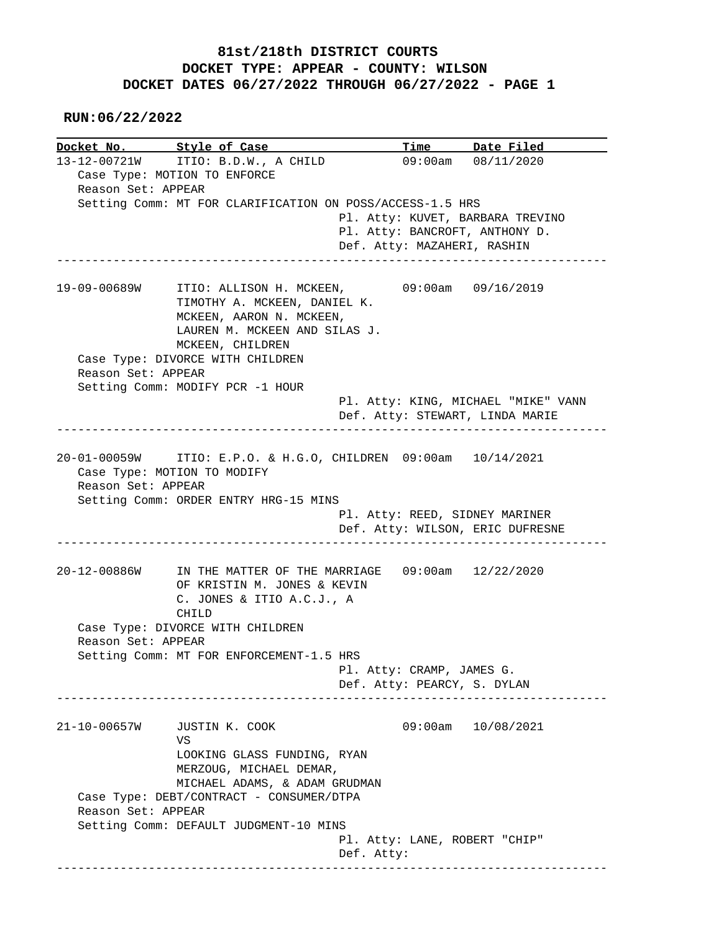**RUN:06/22/2022**

| 13-12-00721W ITIO: B.D.W., A CHILD<br>$09:00am$ $08/11/2020$<br>Case Type: MOTION TO ENFORCE<br>Reason Set: APPEAR<br>Setting Comm: MT FOR CLARIFICATION ON POSS/ACCESS-1.5 HRS<br>Pl. Atty: KUVET, BARBARA TREVINO<br>Pl. Atty: BANCROFT, ANTHONY D.<br>Def. Atty: MAZAHERI, RASHIN<br>19-09-00689W<br>ITIO: ALLISON H. MCKEEN, 09:00am 09/16/2019<br>TIMOTHY A. MCKEEN, DANIEL K. |  |
|-------------------------------------------------------------------------------------------------------------------------------------------------------------------------------------------------------------------------------------------------------------------------------------------------------------------------------------------------------------------------------------|--|
|                                                                                                                                                                                                                                                                                                                                                                                     |  |
|                                                                                                                                                                                                                                                                                                                                                                                     |  |
|                                                                                                                                                                                                                                                                                                                                                                                     |  |
|                                                                                                                                                                                                                                                                                                                                                                                     |  |
|                                                                                                                                                                                                                                                                                                                                                                                     |  |
|                                                                                                                                                                                                                                                                                                                                                                                     |  |
|                                                                                                                                                                                                                                                                                                                                                                                     |  |
|                                                                                                                                                                                                                                                                                                                                                                                     |  |
|                                                                                                                                                                                                                                                                                                                                                                                     |  |
|                                                                                                                                                                                                                                                                                                                                                                                     |  |
|                                                                                                                                                                                                                                                                                                                                                                                     |  |
| MCKEEN, AARON N. MCKEEN,                                                                                                                                                                                                                                                                                                                                                            |  |
| LAUREN M. MCKEEN AND SILAS J.                                                                                                                                                                                                                                                                                                                                                       |  |
|                                                                                                                                                                                                                                                                                                                                                                                     |  |
| MCKEEN, CHILDREN                                                                                                                                                                                                                                                                                                                                                                    |  |
| Case Type: DIVORCE WITH CHILDREN                                                                                                                                                                                                                                                                                                                                                    |  |
| Reason Set: APPEAR                                                                                                                                                                                                                                                                                                                                                                  |  |
| Setting Comm: MODIFY PCR -1 HOUR                                                                                                                                                                                                                                                                                                                                                    |  |
| Pl. Atty: KING, MICHAEL "MIKE" VANN                                                                                                                                                                                                                                                                                                                                                 |  |
| Def. Atty: STEWART, LINDA MARIE                                                                                                                                                                                                                                                                                                                                                     |  |
|                                                                                                                                                                                                                                                                                                                                                                                     |  |
|                                                                                                                                                                                                                                                                                                                                                                                     |  |
| 20-01-00059W ITIO: E.P.O. & H.G.O, CHILDREN 09:00am 10/14/2021                                                                                                                                                                                                                                                                                                                      |  |
| Case Type: MOTION TO MODIFY                                                                                                                                                                                                                                                                                                                                                         |  |
| Reason Set: APPEAR                                                                                                                                                                                                                                                                                                                                                                  |  |
| Setting Comm: ORDER ENTRY HRG-15 MINS                                                                                                                                                                                                                                                                                                                                               |  |
| Pl. Atty: REED, SIDNEY MARINER                                                                                                                                                                                                                                                                                                                                                      |  |
| Def. Atty: WILSON, ERIC DUFRESNE                                                                                                                                                                                                                                                                                                                                                    |  |
|                                                                                                                                                                                                                                                                                                                                                                                     |  |
|                                                                                                                                                                                                                                                                                                                                                                                     |  |
| 20-12-00886W<br>IN THE MATTER OF THE MARRIAGE 09:00am 12/22/2020                                                                                                                                                                                                                                                                                                                    |  |
| OF KRISTIN M. JONES & KEVIN                                                                                                                                                                                                                                                                                                                                                         |  |
| C. JONES & ITIO A.C.J., A                                                                                                                                                                                                                                                                                                                                                           |  |
| CHILD                                                                                                                                                                                                                                                                                                                                                                               |  |
|                                                                                                                                                                                                                                                                                                                                                                                     |  |
| Case Type: DIVORCE WITH CHILDREN                                                                                                                                                                                                                                                                                                                                                    |  |
|                                                                                                                                                                                                                                                                                                                                                                                     |  |
| Reason Set: APPEAR                                                                                                                                                                                                                                                                                                                                                                  |  |
| Setting Comm: MT FOR ENFORCEMENT-1.5 HRS                                                                                                                                                                                                                                                                                                                                            |  |
| Pl. Atty: CRAMP, JAMES G.                                                                                                                                                                                                                                                                                                                                                           |  |
| Def. Atty: PEARCY, S. DYLAN                                                                                                                                                                                                                                                                                                                                                         |  |
|                                                                                                                                                                                                                                                                                                                                                                                     |  |
| 09:00am 10/08/2021<br>21-10-00657W<br>JUSTIN K. COOK                                                                                                                                                                                                                                                                                                                                |  |
|                                                                                                                                                                                                                                                                                                                                                                                     |  |
| VS                                                                                                                                                                                                                                                                                                                                                                                  |  |
| LOOKING GLASS FUNDING, RYAN                                                                                                                                                                                                                                                                                                                                                         |  |
| MERZOUG, MICHAEL DEMAR,                                                                                                                                                                                                                                                                                                                                                             |  |
| MICHAEL ADAMS, & ADAM GRUDMAN                                                                                                                                                                                                                                                                                                                                                       |  |
| Case Type: DEBT/CONTRACT - CONSUMER/DTPA                                                                                                                                                                                                                                                                                                                                            |  |
| Reason Set: APPEAR                                                                                                                                                                                                                                                                                                                                                                  |  |
| Setting Comm: DEFAULT JUDGMENT-10 MINS                                                                                                                                                                                                                                                                                                                                              |  |
|                                                                                                                                                                                                                                                                                                                                                                                     |  |
| Pl. Atty: LANE, ROBERT "CHIP"                                                                                                                                                                                                                                                                                                                                                       |  |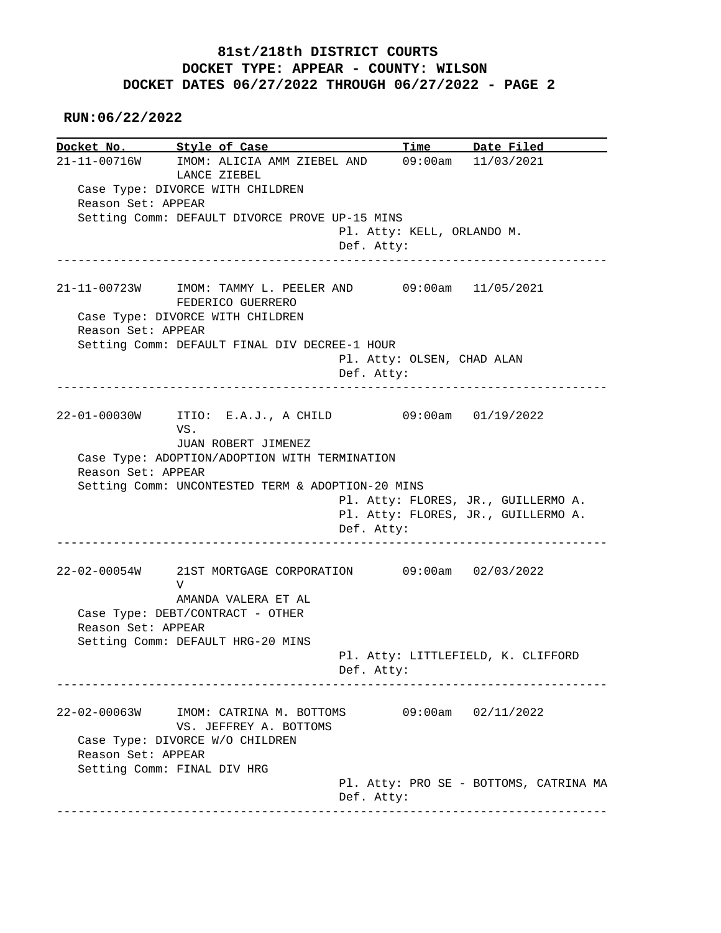**RUN:06/22/2022**

**Docket No. Style of Case Time Date Filed**  21-11-00716W IMOM: ALICIA AMM ZIEBEL AND 09:00am 11/03/2021 LANCE ZIEBEL Case Type: DIVORCE WITH CHILDREN Reason Set: APPEAR Setting Comm: DEFAULT DIVORCE PROVE UP-15 MINS Pl. Atty: KELL, ORLANDO M. Def. Atty: ------------------------------------------------------------------------------ 21-11-00723W IMOM: TAMMY L. PEELER AND 09:00am 11/05/2021 FEDERICO GUERRERO Case Type: DIVORCE WITH CHILDREN Reason Set: APPEAR Setting Comm: DEFAULT FINAL DIV DECREE-1 HOUR Pl. Atty: OLSEN, CHAD ALAN Def. Atty: ------------------------------------------------------------------------------ 22-01-00030W ITIO: E.A.J., A CHILD 09:00am 01/19/2022 VS. JUAN ROBERT JIMENEZ Case Type: ADOPTION/ADOPTION WITH TERMINATION Reason Set: APPEAR Setting Comm: UNCONTESTED TERM & ADOPTION-20 MINS Pl. Atty: FLORES, JR., GUILLERMO A. Pl. Atty: FLORES, JR., GUILLERMO A. Def. Atty: ------------------------------------------------------------------------------ 22-02-00054W 21ST MORTGAGE CORPORATION 09:00am 02/03/2022 V AMANDA VALERA ET AL Case Type: DEBT/CONTRACT - OTHER Reason Set: APPEAR Setting Comm: DEFAULT HRG-20 MINS Pl. Atty: LITTLEFIELD, K. CLIFFORD Def. Atty: ------------------------------------------------------------------------------ 22-02-00063W IMOM: CATRINA M. BOTTOMS 09:00am 02/11/2022 VS. JEFFREY A. BOTTOMS Case Type: DIVORCE W/O CHILDREN Reason Set: APPEAR Setting Comm: FINAL DIV HRG Pl. Atty: PRO SE - BOTTOMS, CATRINA MA Def. Atty: ------------------------------------------------------------------------------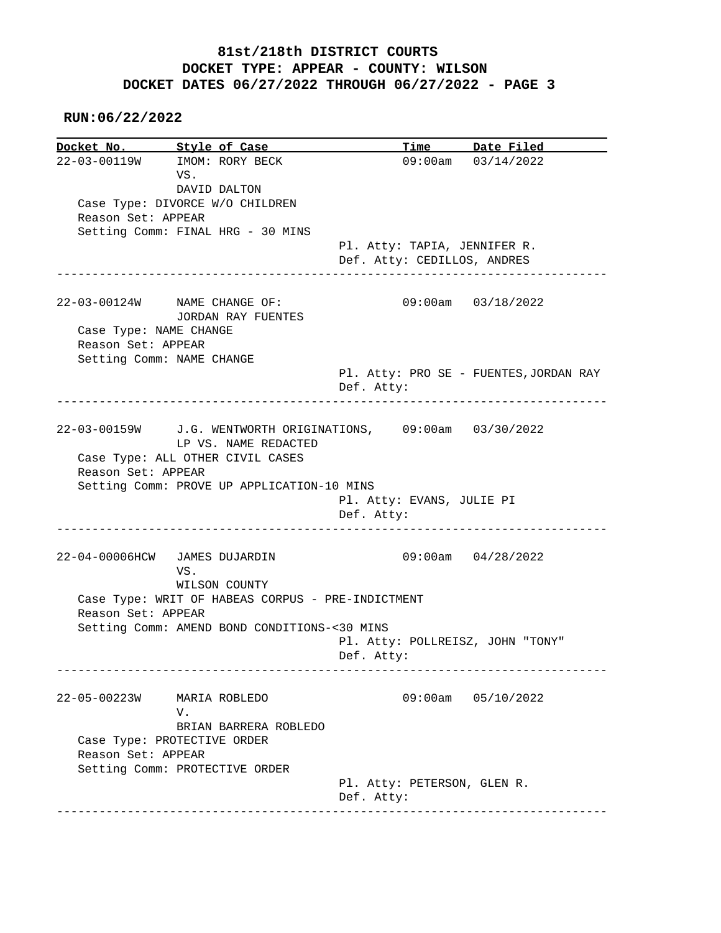# **RUN:06/22/2022**

|                        | Docket No. Style of Case                                     |                                           | Time Date Filed        |
|------------------------|--------------------------------------------------------------|-------------------------------------------|------------------------|
|                        | 22-03-00119W IMOM: RORY BECK                                 |                                           | 09:00am 03/14/2022     |
|                        | VS.                                                          |                                           |                        |
|                        | DAVID DALTON                                                 |                                           |                        |
|                        | Case Type: DIVORCE W/O CHILDREN                              |                                           |                        |
| Reason Set: APPEAR     |                                                              |                                           |                        |
|                        | Setting Comm: FINAL HRG - 30 MINS                            |                                           |                        |
|                        |                                                              | Pl. Atty: TAPIA, JENNIFER R.              |                        |
|                        |                                                              | Def. Atty: CEDILLOS, ANDRES               |                        |
|                        | _________________________________                            |                                           |                        |
|                        | 22-03-00124W NAME CHANGE OF:                                 |                                           | 09:00am 03/18/2022     |
|                        | JORDAN RAY FUENTES                                           |                                           |                        |
| Case Type: NAME CHANGE |                                                              |                                           |                        |
| Reason Set: APPEAR     |                                                              |                                           |                        |
|                        | Setting Comm: NAME CHANGE                                    |                                           |                        |
|                        |                                                              | Pl. Atty: PRO SE - FUENTES, JORDAN RAY    |                        |
|                        |                                                              | Def. Atty:                                |                        |
|                        |                                                              |                                           |                        |
|                        | 22-03-00159W J.G. WENTWORTH ORIGINATIONS, 09:00am 03/30/2022 |                                           |                        |
|                        | LP VS. NAME REDACTED                                         |                                           |                        |
|                        |                                                              |                                           |                        |
|                        | Case Type: ALL OTHER CIVIL CASES                             |                                           |                        |
| Reason Set: APPEAR     |                                                              |                                           |                        |
|                        | Setting Comm: PROVE UP APPLICATION-10 MINS                   |                                           |                        |
|                        |                                                              | Pl. Atty: EVANS, JULIE PI                 |                        |
|                        |                                                              | Def. Atty:                                |                        |
|                        |                                                              |                                           |                        |
|                        | 22-04-00006HCW JAMES DUJARDIN                                |                                           | $09:00am$ $04/28/2022$ |
|                        | VS.                                                          |                                           |                        |
|                        | WILSON COUNTY                                                |                                           |                        |
|                        | Case Type: WRIT OF HABEAS CORPUS - PRE-INDICTMENT            |                                           |                        |
| Reason Set: APPEAR     |                                                              |                                           |                        |
|                        |                                                              |                                           |                        |
|                        | Setting Comm: AMEND BOND CONDITIONS-<30 MINS                 |                                           |                        |
|                        |                                                              | Pl. Atty: POLLREISZ, JOHN "TONY"          |                        |
|                        |                                                              | Def. Atty:                                |                        |
| 22-05-00223W           | MARIA ROBLEDO                                                | 09:00am                                   | 05/10/2022             |
|                        | V.                                                           |                                           |                        |
|                        |                                                              |                                           |                        |
|                        | BRIAN BARRERA ROBLEDO                                        |                                           |                        |
|                        | Case Type: PROTECTIVE ORDER                                  |                                           |                        |
| Reason Set: APPEAR     |                                                              |                                           |                        |
|                        | Setting Comm: PROTECTIVE ORDER                               |                                           |                        |
|                        |                                                              | Pl. Atty: PETERSON, GLEN R.<br>Def. Atty: |                        |